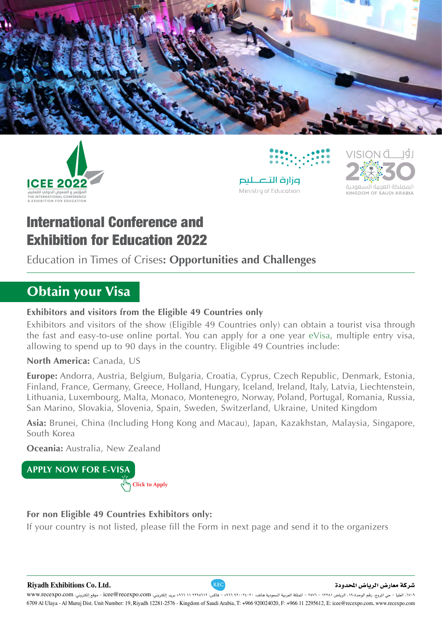







# **International Conference and Exhibition for Education 2022**

Education in Times of Crises: **Opportunities and Challenges** 

# **Obtain your Visa**

#### **Exhibitors and visitors from the Eligible 49 Countries only**

Exhibitors and visitors of the show (Eligible 49 Countries only) can obtain a tourist visa through the fast and easy-to-use online portal. You can apply for a one year eVisa, multiple entry visa, allowing to spend up to 90 days in the country. Eligible 49 Countries include:

#### North America: Canada, US

**Europe:** Andorra, Austria, Belgium, Bulgaria, Croatia, Cyprus, Czech Republic, Denmark, Estonia, Finland, France, Germany, Greece, Holland, Hungary, Iceland, Ireland, Italy, Latvia, Liechtenstein, Lithuania, Luxembourg, Malta, Monaco, Montenegro, Norway, Poland, Portugal, Romania, Russia, San Marino, Slovakia, Slovenia, Spain, Sweden, Switzerland, Ukraine, United Kingdom

Asia: Brunei, China (Including Hong Kong and Macau), Japan, Kazakhstan, Malaysia, Singapore, South Korea

**Oceania:** Australia, New Zealand

**APPLY NOW FOR E-VISA Apply to Click**

#### **For non Eligible 49 Countries Exhibitors only:**

If your country is not listed, please fill the Form in next page and send it to the organizers

�شركة معار�ض الريا�ض املحدودة **.Ltd .Co Exhibitions Riyadh**

6709 Al Ulaya - Al Muruj Dist. Unit Number: 19, Riyadh 12281-2576 - Kingdom of Saudi Arabia, T: +966 920024020, F: +966 11 2295612, E: icee@recexpo.com, www.recexpo.com ٧٠٢٩، العليا - حي المروج، رقم الوحدة،١٩، الرياض ١٢٢٨١ - ١٤ملكة العربية السعودية هاتف: ٩٠٦٦ - ١٩٦٤ - فاكس: ١٢٦٨٥٦٢ - فاكس: ٢٤٩٦٦ + 1714 ، +171 + 11740 + وقع إلكتروني: iVWW.recexpo.com - موقع إلكتروني: iVWW.recexpo.com - مو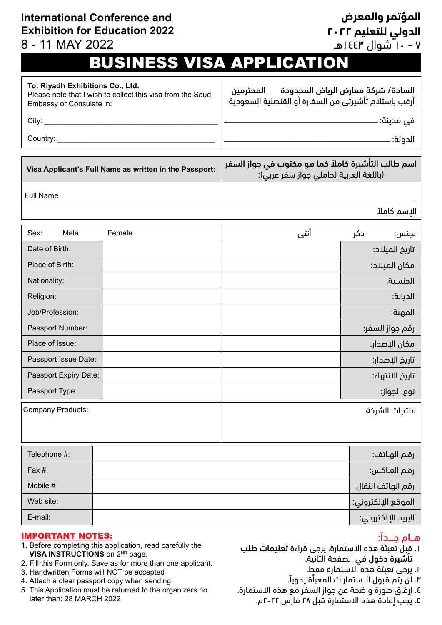# **International Conference and Exhibition for Education 2022**

# 8 - 11 MAY 2022

# **المؤتمر والمعرض الدولي للتعليم 2022**

7 - 10 شوال 1443هـ

# **BUSINESS VISA APPLICATION**

| To: Riyadh Exhibitions Co., Ltd.<br>Please note that I wish to collect this visa from the Saudi<br>Embassy or Consulate in: |        | السادة/ شركة معارض الرياض المحدودة<br>المحترمين<br>آرغب باستلام تأشيرتي من السفارة أو القنصلية السعودية |                    |
|-----------------------------------------------------------------------------------------------------------------------------|--------|---------------------------------------------------------------------------------------------------------|--------------------|
|                                                                                                                             |        |                                                                                                         |                    |
|                                                                                                                             |        |                                                                                                         | الدولة:            |
| Visa Applicant's Full Name as written in the Passport:                                                                      |        | اسم طالب التأشيرة كاملاً كما هو مكتوب في جواز السفر<br>(باللغة العربية لحاملي جواز سفر عربي):           |                    |
| <b>Full Name</b>                                                                                                            |        |                                                                                                         |                    |
| الإسم كاملآ                                                                                                                 |        |                                                                                                         |                    |
| Male<br>Sex:                                                                                                                | Female | أنثى                                                                                                    | ذكر<br>الجنس:      |
| Date of Birth:                                                                                                              |        |                                                                                                         | تاريخ الميلاد:     |
| Place of Birth:                                                                                                             |        |                                                                                                         | مكان الميلاد:      |
| Nationality:                                                                                                                |        |                                                                                                         | الجنسية:           |
| Religion:                                                                                                                   |        |                                                                                                         | الديانة:           |
| Job/Profession:                                                                                                             |        |                                                                                                         | المهنة:            |
| Passport Number:                                                                                                            |        |                                                                                                         | رقم جواز السفر:    |
| Place of Issue:                                                                                                             |        |                                                                                                         | مكان الإصدار:      |
| Passport Issue Date:                                                                                                        |        |                                                                                                         | تاريخ الإصدار:     |
| Passport Expiry Date:                                                                                                       |        |                                                                                                         | تاريخ الانتهاء:    |
| Passport Type:                                                                                                              |        |                                                                                                         | نوع الجواز:        |
| Company Products:                                                                                                           |        |                                                                                                         | منتجات الشركة      |
|                                                                                                                             |        |                                                                                                         |                    |
| Telephone #:                                                                                                                |        |                                                                                                         | رقم الهـاتف:       |
| Fax #:                                                                                                                      |        |                                                                                                         | رقم الفاكس:        |
| Mobile #                                                                                                                    |        |                                                                                                         | رقم الهاتف النقال: |
| Web site:                                                                                                                   |        |                                                                                                         | الموقع الإلكتروني: |

البريد اإللكتروني: :mail-E

#### **IMPORTANT NOTES:**

- 1. Before completing this application, read carefully the VISA INSTRUCTIONS on 2<sup>ND</sup> page.
- 2. Fill this Form only. Save as for more than one applicant.
- 3. Handwritten Forms will NOT be accepted
- 4. Attach a clear passport copy when sending.
- 5. This Application must be returned to the organizers no later than: 28 MARCH 2022

#### هـام جــداً:

- . قبل تعبئة هذه االستمارة، يرجى قراءة تعليمات طلب تأشيرة دخول في الصفحة الثانية.
	- . يرجى تعبئة هذه االستمارة فقط.
	- . لن يتم قبول االستمارات المعبأة يدويا.ً
- . إرفاق صورة واضحة عن جواز السفر مع هذه االستمارة.
	- . يجب إعادة هذه االستمارة قبل 28 مارس 2022م.